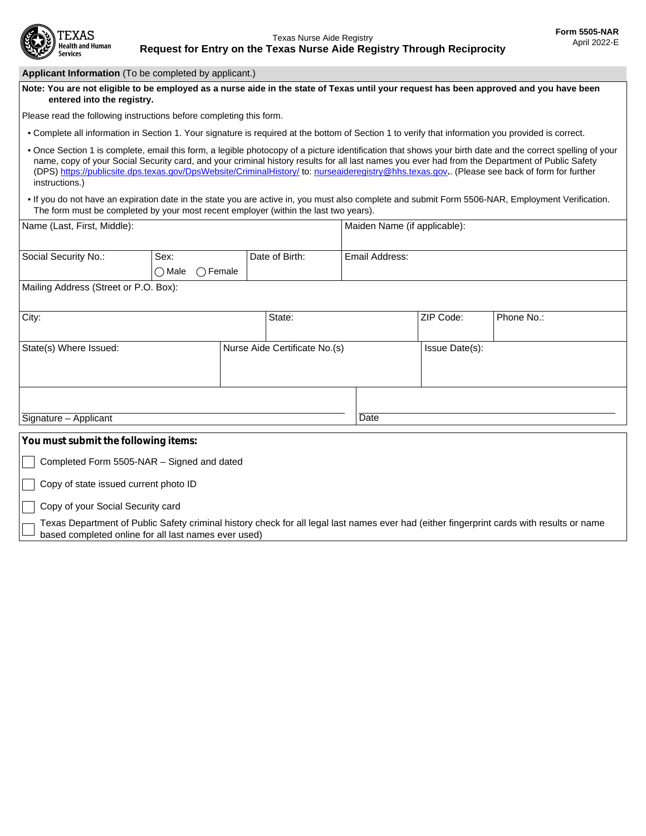

| Applicant Information (To be completed by applicant.)               |                                              |                                                                                                                                                    |                              |                |                                                                                                                                                                                                                                                                                                                                                                                                                                                              |  |
|---------------------------------------------------------------------|----------------------------------------------|----------------------------------------------------------------------------------------------------------------------------------------------------|------------------------------|----------------|--------------------------------------------------------------------------------------------------------------------------------------------------------------------------------------------------------------------------------------------------------------------------------------------------------------------------------------------------------------------------------------------------------------------------------------------------------------|--|
| entered into the registry.                                          |                                              |                                                                                                                                                    |                              |                | Note: You are not eligible to be employed as a nurse aide in the state of Texas until your request has been approved and you have been                                                                                                                                                                                                                                                                                                                       |  |
| Please read the following instructions before completing this form. |                                              |                                                                                                                                                    |                              |                |                                                                                                                                                                                                                                                                                                                                                                                                                                                              |  |
|                                                                     |                                              | . Complete all information in Section 1. Your signature is required at the bottom of Section 1 to verify that information you provided is correct. |                              |                |                                                                                                                                                                                                                                                                                                                                                                                                                                                              |  |
| instructions.)                                                      |                                              |                                                                                                                                                    |                              |                | . Once Section 1 is complete, email this form, a legible photocopy of a picture identification that shows your birth date and the correct spelling of your<br>name, copy of your Social Security card, and your criminal history results for all last names you ever had from the Department of Public Safety<br>(DPS) https://publicsite.dps.texas.gov/DpsWebsite/CriminalHistory/ to: nurseaideregistry@hhs.texas.gov (Please see back of form for further |  |
|                                                                     |                                              | The form must be completed by your most recent employer (within the last two years).                                                               |                              |                | . If you do not have an expiration date in the state you are active in, you must also complete and submit Form 5506-NAR, Employment Verification.                                                                                                                                                                                                                                                                                                            |  |
| Name (Last, First, Middle):                                         |                                              |                                                                                                                                                    | Maiden Name (if applicable): |                |                                                                                                                                                                                                                                                                                                                                                                                                                                                              |  |
| Social Security No.:                                                | Sex:<br>$\bigcirc$ Female<br>$\bigcirc$ Male | Date of Birth:                                                                                                                                     | Email Address:               |                |                                                                                                                                                                                                                                                                                                                                                                                                                                                              |  |
| Mailing Address (Street or P.O. Box):                               |                                              |                                                                                                                                                    |                              |                |                                                                                                                                                                                                                                                                                                                                                                                                                                                              |  |
| City:                                                               |                                              | State:                                                                                                                                             | $\blacktriangledown$         | ZIP Code:      | Phone No.:                                                                                                                                                                                                                                                                                                                                                                                                                                                   |  |
| State(s) Where Issued:                                              |                                              | Nurse Aide Certificate No.(s)                                                                                                                      |                              | Issue Date(s): |                                                                                                                                                                                                                                                                                                                                                                                                                                                              |  |
| Signature - Applicant                                               |                                              |                                                                                                                                                    | Date                         |                |                                                                                                                                                                                                                                                                                                                                                                                                                                                              |  |
|                                                                     |                                              |                                                                                                                                                    |                              |                |                                                                                                                                                                                                                                                                                                                                                                                                                                                              |  |
| You must submit the following items:                                |                                              |                                                                                                                                                    |                              |                |                                                                                                                                                                                                                                                                                                                                                                                                                                                              |  |
| Completed Form 5505-NAR - Signed and dated                          |                                              |                                                                                                                                                    |                              |                |                                                                                                                                                                                                                                                                                                                                                                                                                                                              |  |
| Copy of state issued current photo ID                               |                                              |                                                                                                                                                    |                              |                |                                                                                                                                                                                                                                                                                                                                                                                                                                                              |  |
| Copy of your Social Security card                                   |                                              |                                                                                                                                                    |                              |                |                                                                                                                                                                                                                                                                                                                                                                                                                                                              |  |
| based completed online for all last names ever used)                |                                              |                                                                                                                                                    |                              |                | Texas Department of Public Safety criminal history check for all legal last names ever had (either fingerprint cards with results or name                                                                                                                                                                                                                                                                                                                    |  |